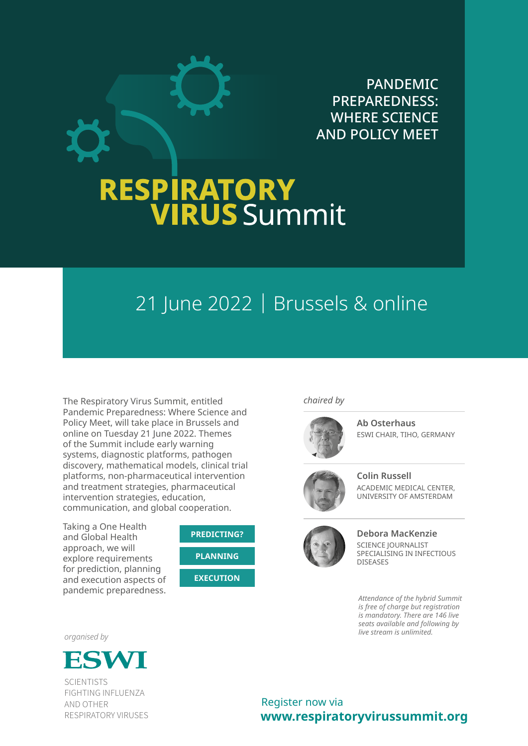

# **RESPIRATORY<br>VIRUS** Summit

### 21 June 2022 | Brussels & online

The Respiratory Virus Summit, entitled Pandemic Preparedness: Where Science and Policy Meet, will take place in Brussels and online on Tuesday 21 June 2022. Themes of the Summit include early warning systems, diagnostic platforms, pathogen discovery, mathematical models, clinical trial platforms, non-pharmaceutical intervention and treatment strategies, pharmaceutical intervention strategies, education, communication, and global cooperation.

Taking a One Health and Global Health approach, we will explore requirements for prediction, planning and execution aspects of pandemic preparedness.



*chaired by*



**Ab Osterhaus** ESWI CHAIR, TIHO, GERMANY



**Colin Russell** ACADEMIC MEDICAL CENTER, UNIVERSITY OF AMSTERDAM



**Debora MacKenzie** SCIENCE JOURNALIST SPECIALISING IN INFECTIOUS DISEASES

*Attendance of the hybrid Summit is free of charge but registration is mandatory. There are 146 live seats available and following by live stream is unlimited.*

*organised by*



**SCIENTISTS** FIGHTING INFLUENZA AND OTHER RESPIRATORY VIRUSES

**www.respiratoryvirussummit.org** Register now via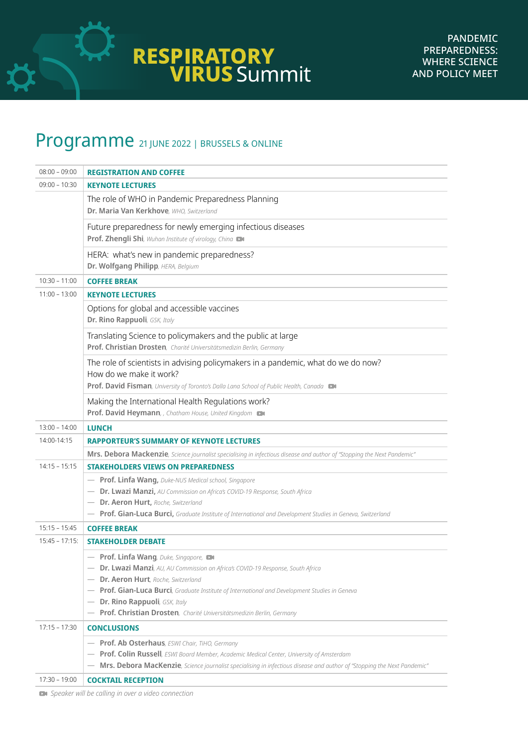

### Programme 21 JUNE 2022 | BRUSSELS & ONLINE

| $08:00 - 09:00$   | <b>REGISTRATION AND COFFEE</b>                                                                                                                                                                                                                                                                                                                                                |
|-------------------|-------------------------------------------------------------------------------------------------------------------------------------------------------------------------------------------------------------------------------------------------------------------------------------------------------------------------------------------------------------------------------|
| $09:00 - 10:30$   | <b>KEYNOTE LECTURES</b>                                                                                                                                                                                                                                                                                                                                                       |
|                   | The role of WHO in Pandemic Preparedness Planning<br>Dr. Maria Van Kerkhove, WHO, Switzerland                                                                                                                                                                                                                                                                                 |
|                   | Future preparedness for newly emerging infectious diseases<br>Prof. Zhengli Shi, Wuhan Institute of virology, China                                                                                                                                                                                                                                                           |
|                   | HERA: what's new in pandemic preparedness?<br>Dr. Wolfgang Philipp, HERA, Belgium                                                                                                                                                                                                                                                                                             |
| $10:30 - 11:00$   | <b>COFFEE BREAK</b>                                                                                                                                                                                                                                                                                                                                                           |
| $11:00 - 13:00$   | <b>KEYNOTE LECTURES</b>                                                                                                                                                                                                                                                                                                                                                       |
|                   | Options for global and accessible vaccines<br>Dr. Rino Rappuoli, GSK, Italy                                                                                                                                                                                                                                                                                                   |
|                   | Translating Science to policymakers and the public at large<br>Prof. Christian Drosten, Charité Universitätsmedizin Berlin, Germany                                                                                                                                                                                                                                           |
|                   | The role of scientists in advising policymakers in a pandemic, what do we do now?<br>How do we make it work?<br>Prof. David Fisman, University of Toronto's Dalla Lana School of Public Health, Canada DI                                                                                                                                                                     |
|                   | Making the International Health Regulations work?<br>Prof. David Heymann, , Chatham House, United Kingdom                                                                                                                                                                                                                                                                     |
| $13:00 - 14:00$   | <b>LUNCH</b>                                                                                                                                                                                                                                                                                                                                                                  |
| 14:00-14:15       | <b>RAPPORTEUR'S SUMMARY OF KEYNOTE LECTURES</b>                                                                                                                                                                                                                                                                                                                               |
|                   | Mrs. Debora Mackenzie, Science journalist specialising in infectious disease and author of "Stopping the Next Pandemic"                                                                                                                                                                                                                                                       |
| $14:15 - 15:15$   | <b>STAKEHOLDERS VIEWS ON PREPAREDNESS</b>                                                                                                                                                                                                                                                                                                                                     |
|                   | - Prof. Linfa Wang, Duke-NUS Medical school, Singapore<br>- Dr. Lwazi Manzi, AU Commission on Africa's COVID-19 Response, South Africa<br>- Dr. Aeron Hurt, Roche, Switzerland<br>- Prof. Gian-Luca Burci, Graduate Institute of International and Development Studies in Geneva, Switzerland                                                                                 |
| $15:15 - 15:45$   | <b>COFFEE BREAK</b>                                                                                                                                                                                                                                                                                                                                                           |
| $15:45 - 17:15$ : | <b>STAKEHOLDER DEBATE</b>                                                                                                                                                                                                                                                                                                                                                     |
|                   | - Prof. Linfa Wang, Duke, Singapore,<br>- Dr. Lwazi Manzi, AU, AU Commission on Africa's COVID-19 Response, South Africa<br>- Dr. Aeron Hurt, Roche, Switzerland<br>- Prof. Gian-Luca Burci, Graduate Institute of International and Development Studies in Geneva<br>Dr. Rino Rappuoli, GSK, Italy<br>- Prof. Christian Drosten, Charité Universitätsmedizin Berlin, Germany |
| $17:15 - 17:30$   | <b>CONCLUSIONS</b>                                                                                                                                                                                                                                                                                                                                                            |
| $17:30 - 19:00$   | - Prof. Ab Osterhaus, ESWI Chair, TiHO, Germany<br>- Prof. Colin Russell, ESWI Board Member, Academic Medical Center, University of Amsterdam<br>Mrs. Debora MacKenzie, Science journalist specialising in infectious disease and author of "Stopping the Next Pandemic"                                                                                                      |
|                   | <b>COCKTAIL RECEPTION</b>                                                                                                                                                                                                                                                                                                                                                     |

 *Speaker will be calling in over a video connection*